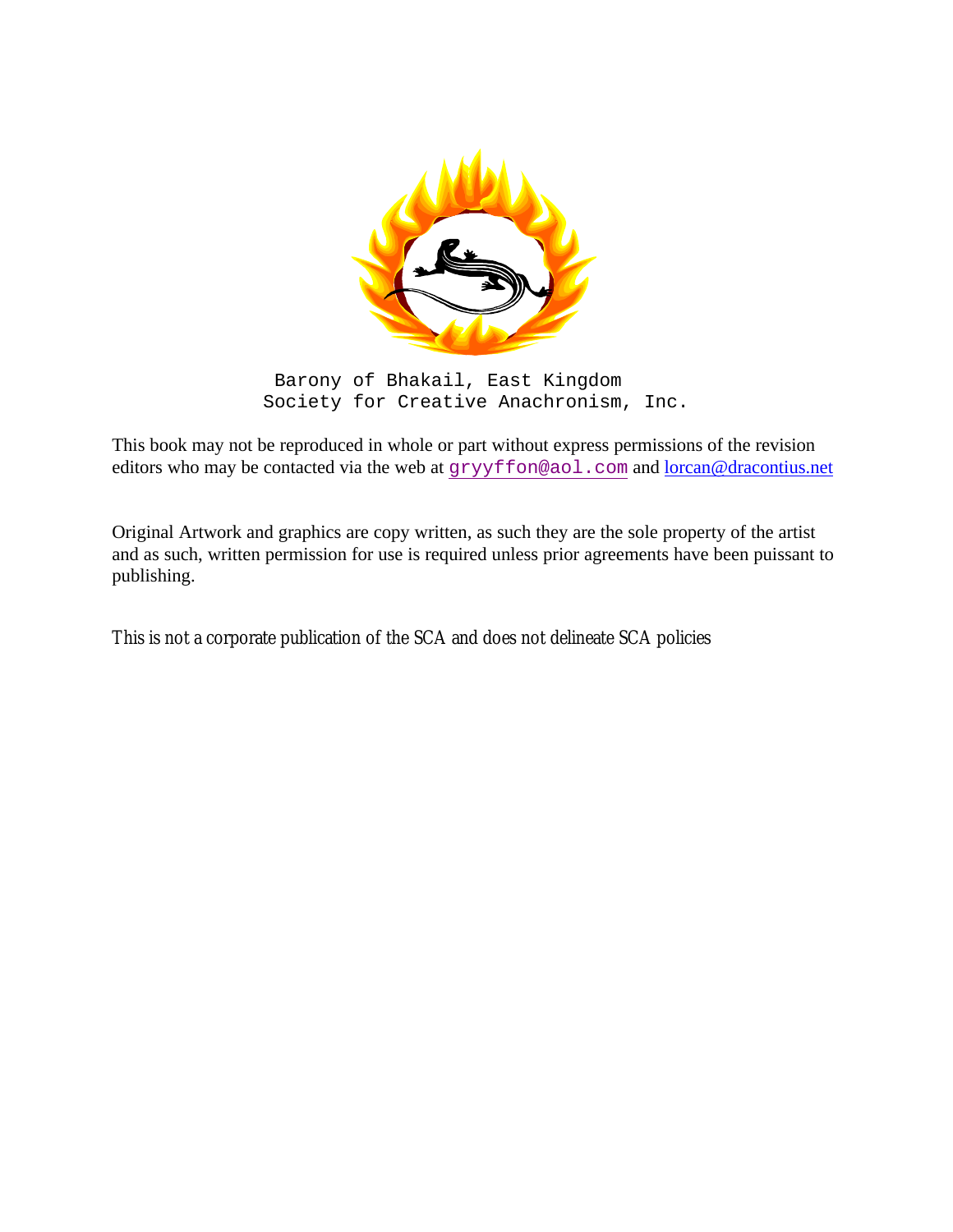

Barony of Bhakail, East Kingdom Society for Creative Anachronism, Inc.

This book may not be reproduced in whole or part without express permissions of the revision editors who may be contacted via the web at gryyffon@aol.com and <u>lorcan@dracontius.net</u>

Original Artwork and graphics are copy written, as such they are the sole property of the artist and as such, written permission for use is required unless prior agreements have been puissant to publishing.

This is not a corporate publication of the SCA and does not delineate SCA policies